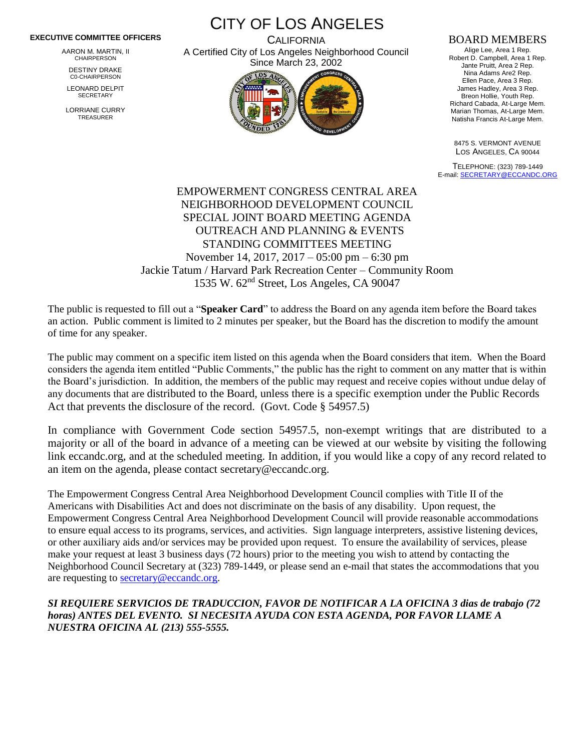## **EXECUTIVE COMMITTEE OFFICERS**

AARON M. MARTIN, II CHAIRPERSON

DESTINY DRAKE C0-CHAIRPERSON

LEONARD DELPIT **SECRETARY** 

LORRIANE CURRY TREASURER

CITY OF LOS ANGELES **CALIFORNIA** 

A Certified City of Los Angeles Neighborhood Council Since March 23, 2002



## BOARD MEMBERS

Alige Lee, Area 1 Rep. Robert D. Campbell, Area 1 Rep. Jante Pruitt, Area 2 Rep. Nina Adams Are2 Rep. Ellen Pace, Area 3 Rep. James Hadley, Area 3 Rep. Breon Hollie, Youth Rep. Richard Cabada, At-Large Mem. Marian Thomas, At-Large Mem. Natisha Francis At-Large Mem.

8475 S. VERMONT AVENUE LOS ANGELES, CA 90044

TELEPHONE: (323) 789-1449 E-mail[: SECRETARY@ECCANDC.ORG](mailto:SECRETARY@ECCANDC.ORG)

## EMPOWERMENT CONGRESS CENTRAL AREA NEIGHBORHOOD DEVELOPMENT COUNCIL SPECIAL JOINT BOARD MEETING AGENDA OUTREACH AND PLANNING & EVENTS STANDING COMMITTEES MEETING November 14, 2017, 2017 – 05:00 pm – 6:30 pm Jackie Tatum / Harvard Park Recreation Center – Community Room 1535 W. 62nd Street, Los Angeles, CA 90047

The public is requested to fill out a "**Speaker Card**" to address the Board on any agenda item before the Board takes an action. Public comment is limited to 2 minutes per speaker, but the Board has the discretion to modify the amount of time for any speaker.

The public may comment on a specific item listed on this agenda when the Board considers that item. When the Board considers the agenda item entitled "Public Comments," the public has the right to comment on any matter that is within the Board's jurisdiction. In addition, the members of the public may request and receive copies without undue delay of any documents that are distributed to the Board, unless there is a specific exemption under the Public Records Act that prevents the disclosure of the record. (Govt. Code § 54957.5)

In compliance with Government Code section 54957.5, non-exempt writings that are distributed to a majority or all of the board in advance of a meeting can be viewed at our website by visiting the following link eccandc.org, and at the scheduled meeting. In addition, if you would like a copy of any record related to an item on the agenda, please contact secretary@eccandc.org.

The Empowerment Congress Central Area Neighborhood Development Council complies with Title II of the Americans with Disabilities Act and does not discriminate on the basis of any disability. Upon request, the Empowerment Congress Central Area Neighborhood Development Council will provide reasonable accommodations to ensure equal access to its programs, services, and activities. Sign language interpreters, assistive listening devices, or other auxiliary aids and/or services may be provided upon request. To ensure the availability of services, please make your request at least 3 business days (72 hours) prior to the meeting you wish to attend by contacting the Neighborhood Council Secretary at (323) 789-1449, or please send an e-mail that states the accommodations that you are requesting to [secretary@eccandc.org.](mailto:secretary@eccandc.org)

## *SI REQUIERE SERVICIOS DE TRADUCCION, FAVOR DE NOTIFICAR A LA OFICINA 3 dias de trabajo (72 horas) ANTES DEL EVENTO. SI NECESITA AYUDA CON ESTA AGENDA, POR FAVOR LLAME A NUESTRA OFICINA AL (213) 555-5555.*